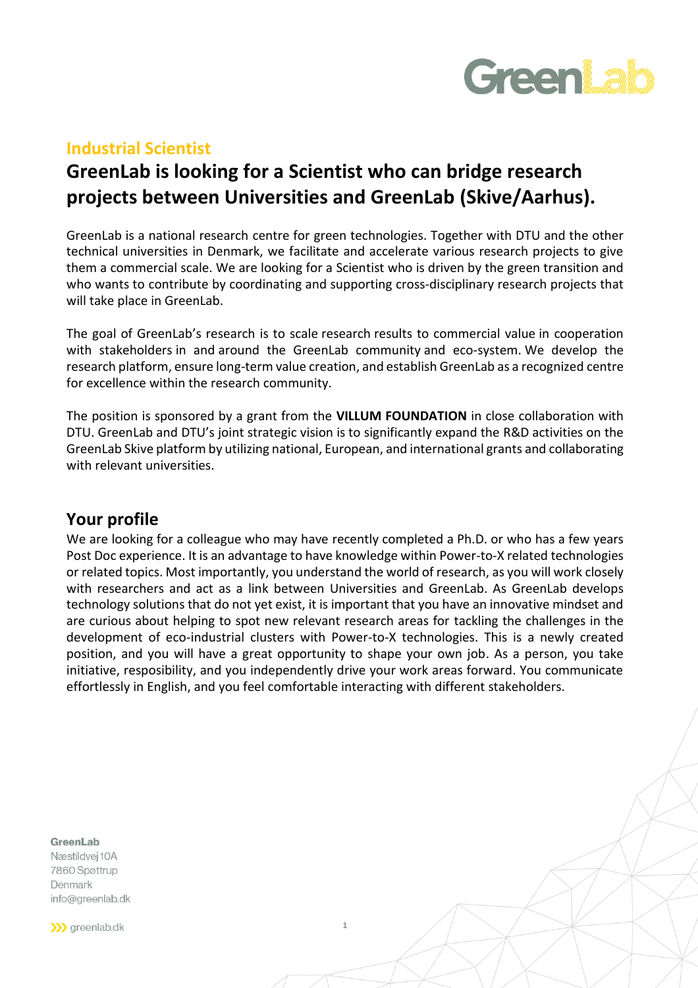

#### **Industrial Scientist**

# **GreenLab is looking for a Scientist who can bridge research projects between Universities and GreenLab (Skive/Aarhus).**

GreenLab is a national research centre for green technologies. Together with DTU and the other technical universities in Denmark, we facilitate and accelerate various research projects to give them a commercial scale. We are looking for a Scientist who is driven by the green transition and who wants to contribute by coordinating and supporting cross-disciplinary research projects that will take place in GreenLab.

The goal of GreenLab's research is to scale research results to commercial value in cooperation with stakeholders in and around the GreenLab community and eco-system. We develop the research platform, ensure long-term value creation, and establish GreenLab as a recognized centre for excellence within the research community.

The position is sponsored by a grant from the **VILLUM FOUNDATION** in close collaboration with DTU. GreenLab and DTU's joint strategic vision is to significantly expand the R&D activities on the GreenLab Skive platform by utilizing national, European, and international grants and collaborating with relevant universities.

### **Your profile**

We are looking for a colleague who may have recently completed a Ph.D. or who has a few years Post Doc experience. It is an advantage to have knowledge within Power-to-X related technologies or related topics. Most importantly, you understand the world of research, as you will work closely with researchers and act as a link between Universities and GreenLab. As GreenLab develops technology solutions that do not yet exist, it is important that you have an innovative mindset and are curious about helping to spot new relevant research areas for tackling the challenges in the development of eco-industrial clusters with Power-to-X technologies. This is a newly created position, and you will have a great opportunity to shape your own job. As a person, you take initiative, resposibility, and you independently drive your work areas forward. You communicate effortlessly in English, and you feel comfortable interacting with different stakeholders.

**1**

**GreenLab** 

Næstildvej 10A 7860 Spøttrup Denmark info@greenlab.dk

>>> greenlab.dk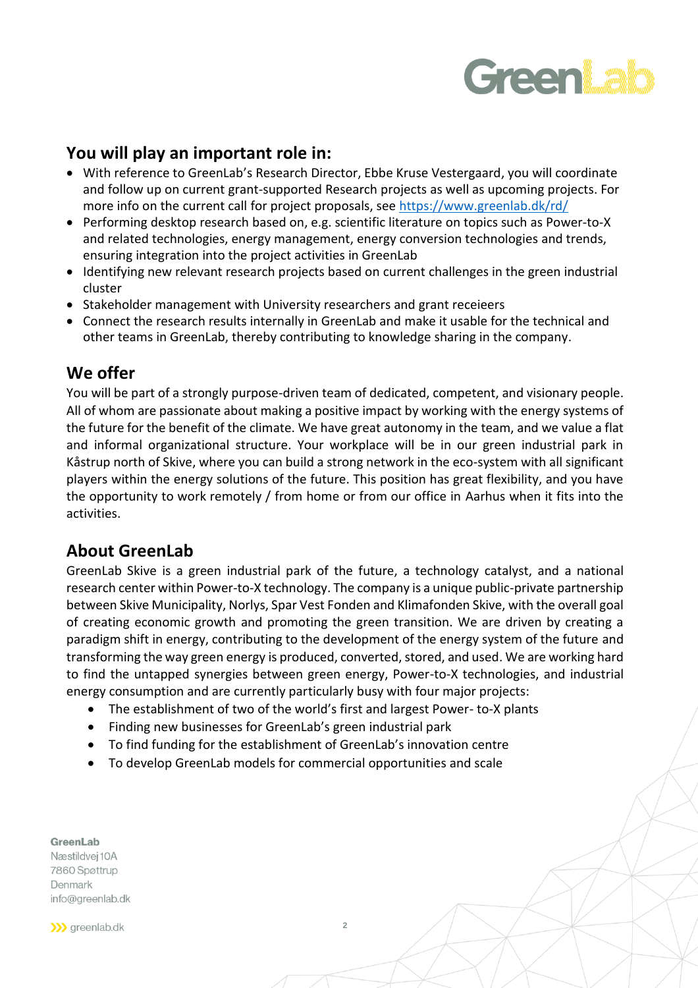# **GreenLab**

# **You will play an important role in:**

- With reference to GreenLab's Research Director, Ebbe Kruse Vestergaard, you will coordinate and follow up on current grant-supported Research projects as well as upcoming projects. For more info on the current call for project proposals, see <https://www.greenlab.dk/rd/>
- Performing desktop research based on, e.g. scientific literature on topics such as Power-to-X and related technologies, energy management, energy conversion technologies and trends, ensuring integration into the project activities in GreenLab
- Identifying new relevant research projects based on current challenges in the green industrial cluster
- Stakeholder management with University researchers and grant receieers
- Connect the research results internally in GreenLab and make it usable for the technical and other teams in GreenLab, thereby contributing to knowledge sharing in the company.

### **We offer**

You will be part of a strongly purpose-driven team of dedicated, competent, and visionary people. All of whom are passionate about making a positive impact by working with the energy systems of the future for the benefit of the climate. We have great autonomy in the team, and we value a flat and informal organizational structure. Your workplace will be in our green industrial park in Kåstrup north of Skive, where you can build a strong network in the eco-system with all significant players within the energy solutions of the future. This position has great flexibility, and you have the opportunity to work remotely / from home or from our office in Aarhus when it fits into the activities.

## **About GreenLab**

GreenLab Skive is a green industrial park of the future, a technology catalyst, and a national research center within Power-to-X technology. The company is a unique public-private partnership between Skive Municipality, Norlys, Spar Vest Fonden and Klimafonden Skive, with the overall goal of creating economic growth and promoting the green transition. We are driven by creating a paradigm shift in energy, contributing to the development of the energy system of the future and transforming the way green energy is produced, converted, stored, and used. We are working hard to find the untapped synergies between green energy, Power-to-X technologies, and industrial energy consumption and are currently particularly busy with four major projects:

- The establishment of two of the world's first and largest Power- to-X plants
- Finding new businesses for GreenLab's green industrial park
- To find funding for the establishment of GreenLab's innovation centre
- To develop GreenLab models for commercial opportunities and scale

**GreenLab** 

Næstildvej 10A 7860 Spøttrup Denmark info@greenlab.dk

>>> greenlab.dk